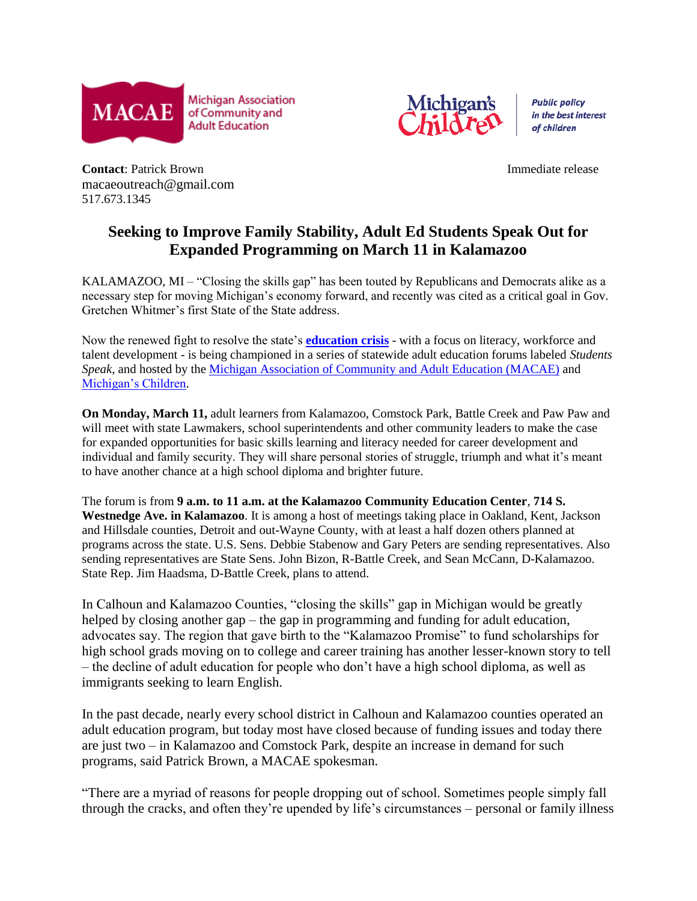

Michigan

**Public policy** in the best interest of children

**Contact:** Patrick Brown *Immediate release* macaeoutreach@gmail.com 517.673.1345

## **Seeking to Improve Family Stability, Adult Ed Students Speak Out for Expanded Programming on March 11 in Kalamazoo**

KALAMAZOO, MI – "Closing the skills gap" has been touted by Republicans and Democrats alike as a necessary step for moving Michigan's economy forward, and recently was cited as a critical goal in Gov. Gretchen Whitmer's first State of the State address.

Now the renewed fight to resolve the state's **[education crisis](https://www.bridgemi.com/phils-column/michigans-1-election-issue-education)** - with a focus on literacy, workforce and talent development - is being championed in a series of statewide adult education forums labeled *Students Speak*, and hosted by the [Michigan Association of Community and Adult Education \(MACAE\)](https://macae.org/) and [Michigan's Children.](http://www.michiganschildren.org/)

**On Monday, March 11,** adult learners from Kalamazoo, Comstock Park, Battle Creek and Paw Paw and will meet with state Lawmakers, school superintendents and other community leaders to make the case for expanded opportunities for basic skills learning and literacy needed for career development and individual and family security. They will share personal stories of struggle, triumph and what it's meant to have another chance at a high school diploma and brighter future.

The forum is from **9 a.m. to 11 a.m. at the Kalamazoo Community Education Center**, **714 S. Westnedge Ave. in Kalamazoo**. It is among a host of meetings taking place in Oakland, Kent, Jackson and Hillsdale counties, Detroit and out-Wayne County, with at least a half dozen others planned at programs across the state. U.S. Sens. Debbie Stabenow and Gary Peters are sending representatives. Also sending representatives are State Sens. John Bizon, R-Battle Creek, and Sean McCann, D-Kalamazoo. State Rep. Jim Haadsma, D-Battle Creek, plans to attend.

In Calhoun and Kalamazoo Counties, "closing the skills" gap in Michigan would be greatly helped by closing another gap – the gap in programming and funding for adult education, advocates say. The region that gave birth to the "Kalamazoo Promise" to fund scholarships for high school grads moving on to college and career training has another lesser-known story to tell – the decline of adult education for people who don't have a high school diploma, as well as immigrants seeking to learn English.

In the past decade, nearly every school district in Calhoun and Kalamazoo counties operated an adult education program, but today most have closed because of funding issues and today there are just two – in Kalamazoo and Comstock Park, despite an increase in demand for such programs, said Patrick Brown, a MACAE spokesman.

"There are a myriad of reasons for people dropping out of school. Sometimes people simply fall through the cracks, and often they're upended by life's circumstances – personal or family illness